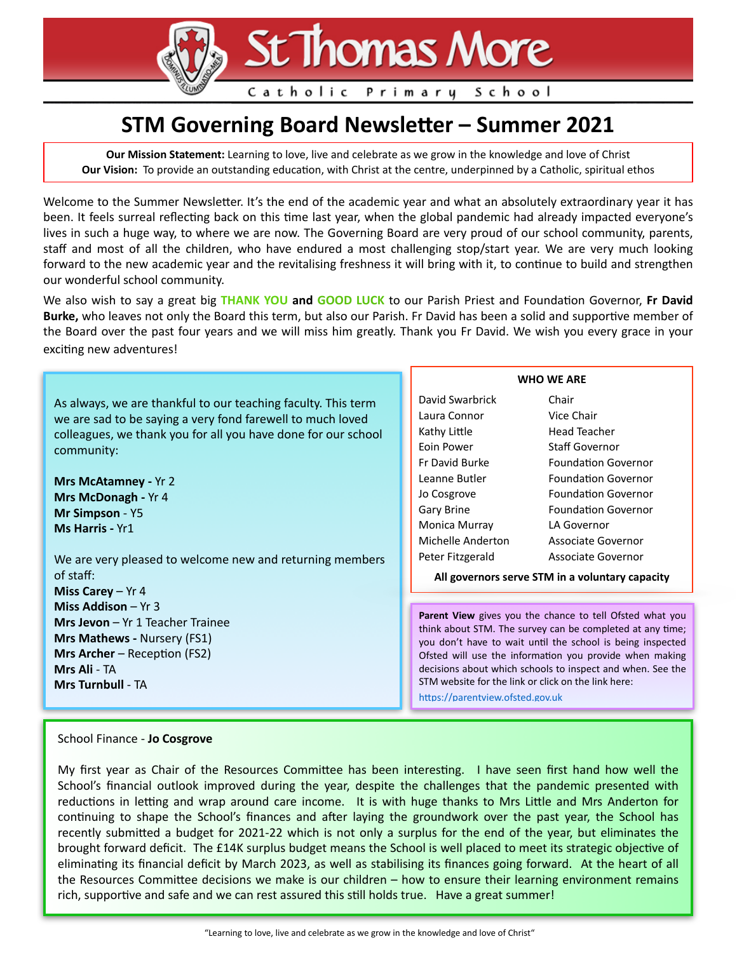**St Thomas More** 

Catholic Primary School

# **STM Governing Board Newsletter – Summer 2021**

**Our Mission Statement:** Learning to love, live and celebrate as we grow in the knowledge and love of Christ **Our Vision:** To provide an outstanding education, with Christ at the centre, underpinned by a Catholic, spiritual ethos

Welcome to the Summer Newsletter. It's the end of the academic year and what an absolutely extraordinary year it has been. It feels surreal reflecting back on this time last year, when the global pandemic had already impacted everyone's lives in such a huge way, to where we are now. The Governing Board are very proud of our school community, parents, staff and most of all the children, who have endured a most challenging stop/start year. We are very much looking forward to the new academic year and the revitalising freshness it will bring with it, to continue to build and strengthen our wonderful school community.

We also wish to say a great big **THANK YOU and GOOD LUCK** to our Parish Priest and Foundation Governor, Fr David Burke, who leaves not only the Board this term, but also our Parish. Fr David has been a solid and supportive member of the Board over the past four years and we will miss him greatly. Thank you Fr David. We wish you every grace in your exciting new adventures!

As always, we are thankful to our teaching faculty. This term we are sad to be saying a very fond farewell to much loved colleagues, we thank you for all you have done for our school community:

**Mrs McAtamney -** Yr 2 **Mrs McDonagh -** Yr 4 **Mr Simpson** - Y5 **Ms Harris -** Yr1

We are very pleased to welcome new and returning members of staff: **Miss Carey** – Yr 4

**Miss Addison** – Yr 3 **Mrs Jevon** – Yr 1 Teacher Trainee **Mrs Mathews -** Nursery (FS1) **Mrs Archer** – Reception (FS2) **Mrs Ali** - TA **Mrs Turnbull** - TA

# David Swarbrick Chair Laura Connor Vice Chair Kathy Little **Head Teacher** Eoin Power Staff Governor Fr David Burke Foundation Governor Leanne Butler Foundation Governor Jo Cosgrove Foundation Governor Gary Brine Foundation Governor Monica Murray LA Governor Michelle Anderton Associate Governor Peter Fitzgerald Associate Governor

**WHO WE ARE** 

**All governors serve STM in a voluntary capacity**

Parent View gives you the chance to tell Ofsted what you think about STM. The survey can be completed at any time; you don't have to wait until the school is being inspected Ofsted will use the information you provide when making decisions about which schools to inspect and when. See the STM website for the link or click on the link here:

https://parentyiew.ofsted.gov.uk

## School Finance - **Jo Cosgrove**

My first year as Chair of the Resources Committee has been interesting. I have seen first hand how well the School's financial outlook improved during the year, despite the challenges that the pandemic presented with reductions in letting and wrap around care income. It is with huge thanks to Mrs Little and Mrs Anderton for continuing to shape the School's finances and after laying the groundwork over the past year, the School has recently submitted a budget for 2021-22 which is not only a surplus for the end of the year, but eliminates the brought forward deficit. The £14K surplus budget means the School is well placed to meet its strategic objective of eliminating its financial deficit by March 2023, as well as stabilising its finances going forward. At the heart of all the Resources Committee decisions we make is our children  $-$  how to ensure their learning environment remains rich, supportive and safe and we can rest assured this still holds true. Have a great summer!